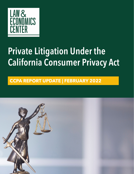

## **Private Litigation Under the California Consumer Privacy Act**

## **CCPA REPORT UPDATE | FEBRUARY 2022**

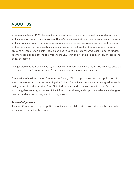## **ABOUT US**

Since its inception in 1974, the Law & Economics Center has played a critical role as a leader in law and economics research and education. The LEC recognizes both the importance of timely, relevant, and unassailable research on public policy issues as well as the necessity of communicating research findings to those who are directly shaping our country's public policy discussions. With research divisions devoted to top-quality legal policy analysis and educational arms reaching out to judges, attorneys general, and other policymakers, the LEC is uniquely equipped to positively affect national policy outcomes.

The generous support of individuals, foundations, and corporations makes all LEC activities possible. A current list of LEC donors may be found on our website at www.masonlec.org

The mission of the Program on Economics & Privacy (PEP) is to promote the sound application of economic analysis to issues surrounding the digital information economy through original research, policy outreach, and education. The PEP is dedicated to studying the economic tradeoffs inherent to privacy, data security, and other digital information debates, and to produce relevant and original research and education programs for policymakers.

#### *Acknowledgements*

James C. Cooper was the principal investigator, and Jacob Hopkins provided invaluable research assistance in preparing this report.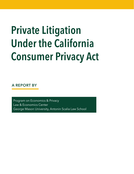# **Private Litigation Under the California Consumer Privacy Act**

**A REPORT BY**

Program on Economics & Privacy Law & Economics Center George Mason University, Antonin Scalia Law School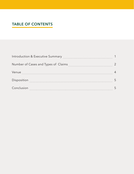## **TABLE OF CONTENTS**

| Introduction & Executive Summary    |  |
|-------------------------------------|--|
| Number of Cases and Types of Claims |  |
| Venue                               |  |
| Disposition                         |  |
| Conclusion                          |  |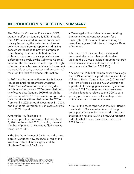### **INTRODUCTION & EXECUTIVE SUMMARY**

The California Consumer Privacy Act (CCPA) went into effect on January 1, 2020. Broadly, the CCPA is designed to protect consumers' privacy by making the collection and use of consumer data more transparent, and giving consumers the right to prevent companies from sharing their data with third parties. Although these core privacy provisions are enforced exclusively by the California Attorney General, the CCPA also provides a private right of action when a business's failure to implement "reasonable security practices and procedures" results in the theft of personal information.<sup>1</sup>

In 2021, the Program on Economics & Privacy issued its initial report, *Private Litigation Under the California Consumer Privacy Act*, which examined private CCPA cases filed from its effective date (January 2020) through the first quarter of 2021.<sup>2</sup> This new Report provides data on private actions filed under the CCPA from April 1, 2021 through December 31, 2021, and highlights developments in cases covered in the 2021 Report.

Among the key findings are:

• 55 new private actions were filed from April 1, 2021 to the end of 2021, bringing the total number of private CCPA actions filed since its inception to 138.

• The Southern District of California is the most popular venue for new cases, followed by the Western District of Washington, and the Northern District of California.

• Cases against five defendants surrounding the same alleged conduct account for a majority (32) of the new filings, including 15 cases filed against T-Mobile and 9 against Bank of America.

• All but one of the complaints examined contained allegations that the defendant violated the CCPA's provision requiring covered entities to take reasonable care to protect consumer data (Section 1798.150).

• Almost half (44%) of the new cases also allege the CCPA violation as a predicate violation for a California Unfair Competition Law (UCL) claim,3 and 11% of cases alleged a CCPA violation as a predicate for a negligence claim. By contrast with the 2021 Report, none of the new cases involve allegations related to the CCPA's core privacy provisions, such as failure to provide notice or obtain consumer consent.

• Four of the cases reported in the 2021 Report have had CCPA claims dismissed, although some plaintiffs have filed amended complaints that contain revised CCPA claims. Our research indicates that 8 cases have settled since our 2021 Report.

<sup>1</sup> CAL. CIV. CODE § 1798.150(A)(1).

<sup>2</sup> PROGRAM ON ECONOMICS & PRIVAC Y, PRIVATE LITIGATION UNDER THE CALIFORNIA CONSUMER PRIVACY ACT (May 2021), at https://masonlec.org/wp-content/uploads/2021/05/Draft-April-2021-CCPA-Report.pdf.

<sup>3</sup> CAL. BUS & PROF. CODE §§ 17200 *et. seq.*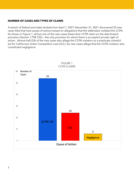#### **NUMBER OF CASES AND TYPES OF CLAIMS**

A search of federal and state dockets from April 1, 2021-December 31, 2021 discovered 55 new cases filed that had causes of actions based on allegations that the defendant violated the CCPA. As shown in Figure 1, all but one of the new cases bases their CCPA claim on the data breach provision (Section 1798.150) — the only provision for which there is an explicit private right of action. Almost half (24) of the new cases also allege the CCPA violation as a predicate unlawful act for California's Unfair Competition Law (UCL). Six new cases allege that the CCPA violation also constituted negligence.



FIGURE 1 CCPA CLAIMS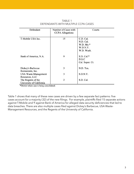| Defendant                                                   | Number of Cases with<br><b>CCPA</b> Allegations | Courts                                                          |
|-------------------------------------------------------------|-------------------------------------------------|-----------------------------------------------------------------|
| T-Mobile USA Inc.                                           | 15                                              | C.D. Cal.<br>N.D. Cal.<br>$W.D. Mo.*$<br>W.D.N.Y.<br>W.D. Wash. |
| Bank of America, N.A.                                       | 9                                               | $S.D. Cal.*$<br>D.S.C<br>Cal. Super. Ct.                        |
| Dickey's Barbecue                                           | 3                                               | N.D. Tex.                                                       |
| Restaurants, Inc.<br>USA Waste-Management<br>Resources, LLC | 3                                               | S.D.N.Y.                                                        |
| The Regents of the<br>University of California              | $\overline{2}$                                  | S.D. Cal.                                                       |

TABLE 1 DEFENDANTS WITH MULTIPLE CCPA CASES

\*District where case is being consolidated.

Table 1 shows that many of these new cases are driven by a few separate fact patterns: five cases account for a majority (32) of the new filings. For example, plaintiffs filed 15 separate actions against T-Mobile and 9 against Bank of America for alleged data security deficiencies that led to data breaches. There are also multiple cases filed against Dickey's Barbecue, USA Waste-Management Resources, and the Regents of the University of California.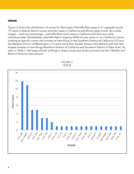#### **VENUE**

Figure 2 shows the distribution of venue for filed cases. Plaintiffs filed cases in 21 separate courts: 19 cases in federal district courts, and two cases in California and Illinois state courts. By a wide margin — and not surprisingly — plaintiffs filed more cases in Califronia (22) than any other individual state. Nonetheless, plaintiffs filed a majority (60%) of new cases in non-California courts. Looking at specific courts, the number of new filings in the Southern District of California (12) and the Western District of Washington (11) were more than double those in the districts with the next largest number of new filings (Northern District of California and Southern District of New York). As seen in Table 1, the large volume of filings in these courts was driven primarily by the T-Mobile and Bank of America class actions.



FIGURE 2 VENUE

4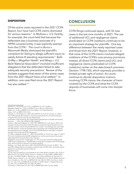#### **DISPOSITION**

Of the active cases reported in the 2021 CCPA Report, four have had CCPA claims dismissed for various reasons.4 In *Mullinex v. U.S. Fertility*, for example, the court held that because the defendant was a business associate of a HIPPA-covered entity, it was explicitly exempt from the CCPA.5 The court in *Burns v. Mammoth Media* dismissed the plaintiff's complaint for failing to allege sufficient injury to satisfy Article III standing requirements.<sup>6</sup> Both *Griffey v. Magellan Health*<sup>7</sup> and *Maag v. U.S. Bank National Association8* involved insufficient allegations that the defendant failed to take adequate security precautions. Review of the dockets suggests that seven of the active cases from the 2021 Report have since settled.<sup>9</sup> In addition, one case filed since the 2021 Report has also settled.10

#### **CONCLUSION**

CCPA filings continued apace, with 55 new cases in the last nine months of 2021. The use of additional UCL and negligence claims predicated on CCPA violations continues to be an important strategy for plaintiffs. One key difference between the newly reported cases and those from the 2021 Report, however, is that none of the CCPA claims involved alleged violations of the CCPA's core privacy provisions. Instead, all direct CCPA claims (and UCL and negligence claims predicated on CCPA violations) center on the data breach provision (Section 1798.150), which expressly provides a limited private right of action. As courts continue to decide dispositive motions involving CCPA claims, the character of harm covered by the CCPA and what the CCPA requires of businesses will come into sharper focus.

4 *Mullinix v. US Fertility, LLC*, 8:21-cv-00409 (C.D. Cal.); *Griffey v. Magellan Health Inc.,* 2:20-cv-01282 (D. Ariz.); *Burns v. Mammoth Media, Inc.,* 2:20-cv-04855 (C.D. Cal.); *Maag v. U.S. Bank National* 

5 *Mullinix v. US Fertility, LLC*, 2021 WL 4395975, at \*5 (C.D. Cal. Apr. 21, 2021). The CCPA specifically exempts a "business associated of a covered entity governed by the privacy, security, and data breach

*Assoc.*, 3:21-cv-00031 (S.D. Cal.).

notification rules issued by the United States Department of Health and Human Services . . .". CAL. CIV. CODE §1798.146(a)(3).

<sup>6</sup> *Burns v. Mammoth Media, Inc.,* 2021 WL 3500964 (C.D. Cal. Aug. 6, 2021). Defendant introduced evidence that the data accessed during the breach was "essentially useless," which the plaintiff did not counter. Accordingly, the court held the data breach "could not possibly have caused the risk of identity theft, fraud, and attendant harms alleged." *Id.* at \*\*3-4. Plaintiff filed an amended complaint that did not include any CCPA allegations.

<sup>7</sup> *Griffey v. Magellan Health Inc.*, 2021 WL 4427065, at \*15 (D. Ariz. Sept. 27, 2021). The court characterized plaintiffs allegations as conclusory because they essentially stated that "because there was a breach,

Magellan's security was inadequate." *Id.* The court also held that Griffey failed sufficiently to allege harm. Plaintiff filed an amended complaint with CCPA allegations, and a motion to dismiss is currently pending.

<sup>8</sup> *Maag v. U.S. Bank, Nat'l Ass'n*, 2021 WL 5605278 (S.D. Cal. Apr. 8, 2021). The plaintiff in Maag filed an amended complaint with a CCPA claim, and both parties agreed to remand the case to California

Superior Court.

<sup>9</sup> *In Re: Hanna Andersson and Salesforce.com Data Breach Litigation*, No. 3:20-cv-00812 (N.D. Cal. Feb 03, 2020); *Llamas v. Truefire, LLC,* No. 8:20-cv-00857 (M.D. Fla. Apr. 14, 2020); *Pfeiffer v. Radnet, Inc.*, No. 2:20-cv-09553 (C.D. Cal. Oct 19, 2020); *Poling v. Artech L.L.C.,* No. 3:20-cv-07630 (N.D. Cal. Oct 29, 2020), *Hashemi et al v. Bosley, Inc.*, No. 2:21-cv-00946 (C.D. Cal. Feb 01, 2021), *Cochran v. Accellion, Inc.,* No. 5:21-cv-01887 (N.D. Cal. Mar 17, 2021), *Beyer v. Flagstar Bancorp, Inc.*, No. 5:21-cv-02239 (N.D. Cal. Mar 30, 2021).

<sup>10</sup> *Powers v. Filters Fast LLC,* No. 3:20-cv-00982 (W.D. Wis. Oct 26, 2020).